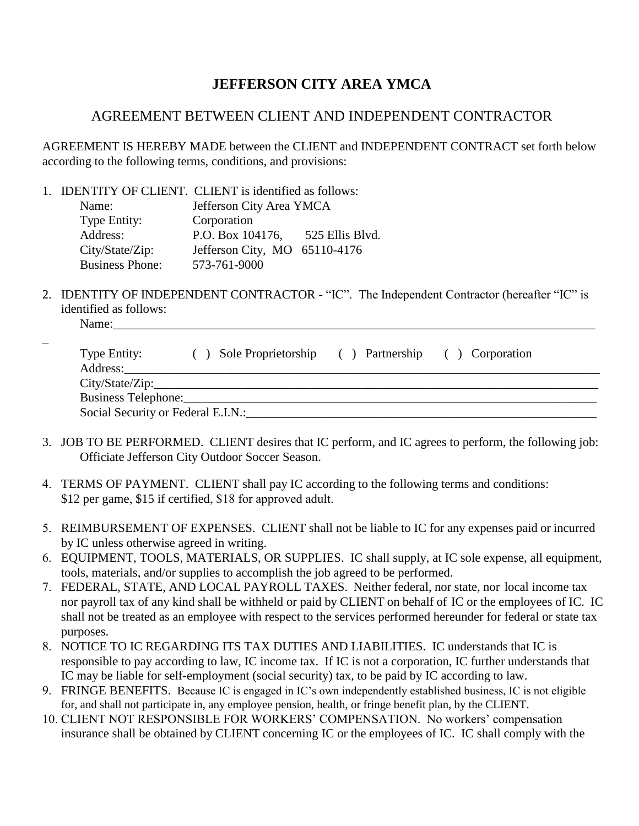## **JEFFERSON CITY AREA YMCA**

## AGREEMENT BETWEEN CLIENT AND INDEPENDENT CONTRACTOR

AGREEMENT IS HEREBY MADE between the CLIENT and INDEPENDENT CONTRACT set forth below according to the following terms, conditions, and provisions:

1. IDENTITY OF CLIENT. CLIENT is identified as follows:

| Name:                  | Jefferson City Area YMCA      |                 |  |  |
|------------------------|-------------------------------|-----------------|--|--|
| Type Entity:           | Corporation                   |                 |  |  |
| Address:               | P.O. Box 104176,              | 525 Ellis Blvd. |  |  |
| City/State/Zip:        | Jefferson City, MO 65110-4176 |                 |  |  |
| <b>Business Phone:</b> | 573-761-9000                  |                 |  |  |

2. IDENTITY OF INDEPENDENT CONTRACTOR - "IC". The Independent Contractor (hereafter "IC" is identified as follows: Name:\_\_\_\_\_\_\_\_\_\_\_\_\_\_\_\_\_\_\_\_\_\_\_\_\_\_\_\_\_\_\_\_\_\_\_\_\_\_\_\_\_\_\_\_\_\_\_\_\_\_\_\_\_\_\_\_\_\_\_\_\_\_\_\_\_\_\_\_\_\_\_\_\_\_\_\_\_

| ٠ |   |  |
|---|---|--|
|   | × |  |

\_

| Type Entity:                       | Sole Proprietorship | Partnership | ( ) Corporation |
|------------------------------------|---------------------|-------------|-----------------|
| Address:                           |                     |             |                 |
| City/State/Zip:                    |                     |             |                 |
| Business Telephone:                |                     |             |                 |
| Social Security or Federal E.I.N.: |                     |             |                 |

- 3. JOB TO BE PERFORMED. CLIENT desires that IC perform, and IC agrees to perform, the following job: Officiate Jefferson City Outdoor Soccer Season.
- 4. TERMS OF PAYMENT. CLIENT shall pay IC according to the following terms and conditions: \$12 per game, \$15 if certified, \$18 for approved adult.
- 5. REIMBURSEMENT OF EXPENSES. CLIENT shall not be liable to IC for any expenses paid or incurred by IC unless otherwise agreed in writing.
- 6. EQUIPMENT, TOOLS, MATERIALS, OR SUPPLIES. IC shall supply, at IC sole expense, all equipment, tools, materials, and/or supplies to accomplish the job agreed to be performed.
- 7. FEDERAL, STATE, AND LOCAL PAYROLL TAXES. Neither federal, nor state, nor local income tax nor payroll tax of any kind shall be withheld or paid by CLIENT on behalf of IC or the employees of IC. IC shall not be treated as an employee with respect to the services performed hereunder for federal or state tax purposes.
- 8. NOTICE TO IC REGARDING ITS TAX DUTIES AND LIABILITIES. IC understands that IC is responsible to pay according to law, IC income tax. If IC is not a corporation, IC further understands that IC may be liable for self-employment (social security) tax, to be paid by IC according to law.
- 9. FRINGE BENEFITS. Because IC is engaged in IC's own independently established business, IC is not eligible for, and shall not participate in, any employee pension, health, or fringe benefit plan, by the CLIENT.
- 10. CLIENT NOT RESPONSIBLE FOR WORKERS' COMPENSATION. No workers' compensation insurance shall be obtained by CLIENT concerning IC or the employees of IC. IC shall comply with the